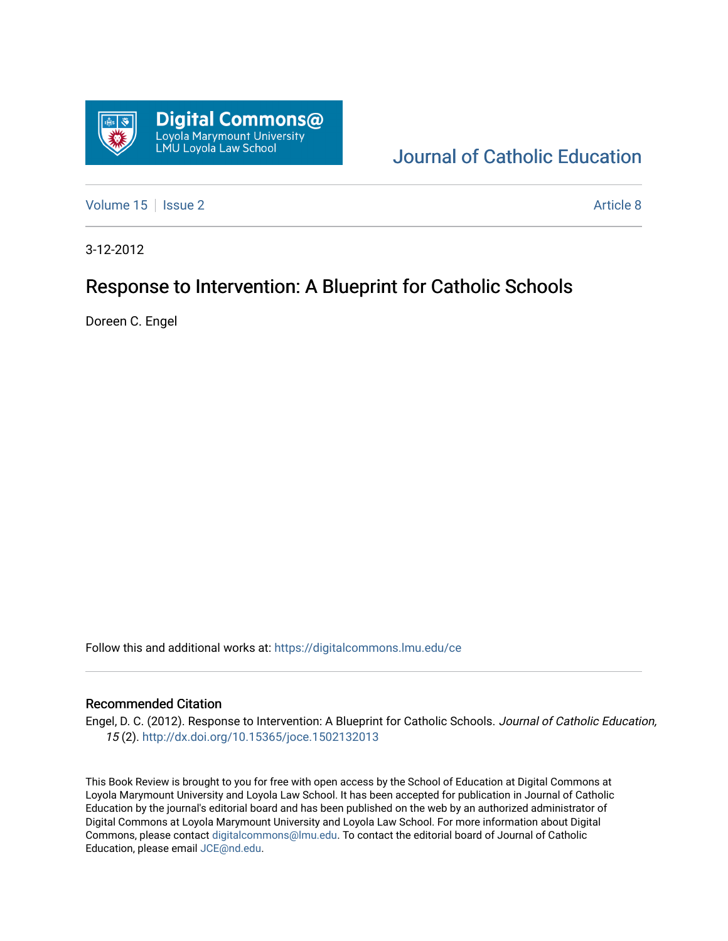

## [Journal of Catholic Education](https://digitalcommons.lmu.edu/ce)

[Volume 15](https://digitalcommons.lmu.edu/ce/vol15) | [Issue 2](https://digitalcommons.lmu.edu/ce/vol15/iss2) Article 8

3-12-2012

## Response to Intervention: A Blueprint for Catholic Schools

Doreen C. Engel

Follow this and additional works at: [https://digitalcommons.lmu.edu/ce](https://digitalcommons.lmu.edu/ce?utm_source=digitalcommons.lmu.edu%2Fce%2Fvol15%2Fiss2%2F8&utm_medium=PDF&utm_campaign=PDFCoverPages)

## Recommended Citation

Engel, D. C. (2012). Response to Intervention: A Blueprint for Catholic Schools. Journal of Catholic Education, 15 (2). <http://dx.doi.org/10.15365/joce.1502132013>

This Book Review is brought to you for free with open access by the School of Education at Digital Commons at Loyola Marymount University and Loyola Law School. It has been accepted for publication in Journal of Catholic Education by the journal's editorial board and has been published on the web by an authorized administrator of Digital Commons at Loyola Marymount University and Loyola Law School. For more information about Digital Commons, please contact [digitalcommons@lmu.edu.](mailto:digitalcommons@lmu.edu) To contact the editorial board of Journal of Catholic Education, please email [JCE@nd.edu.](mailto:JCE@nd.edu)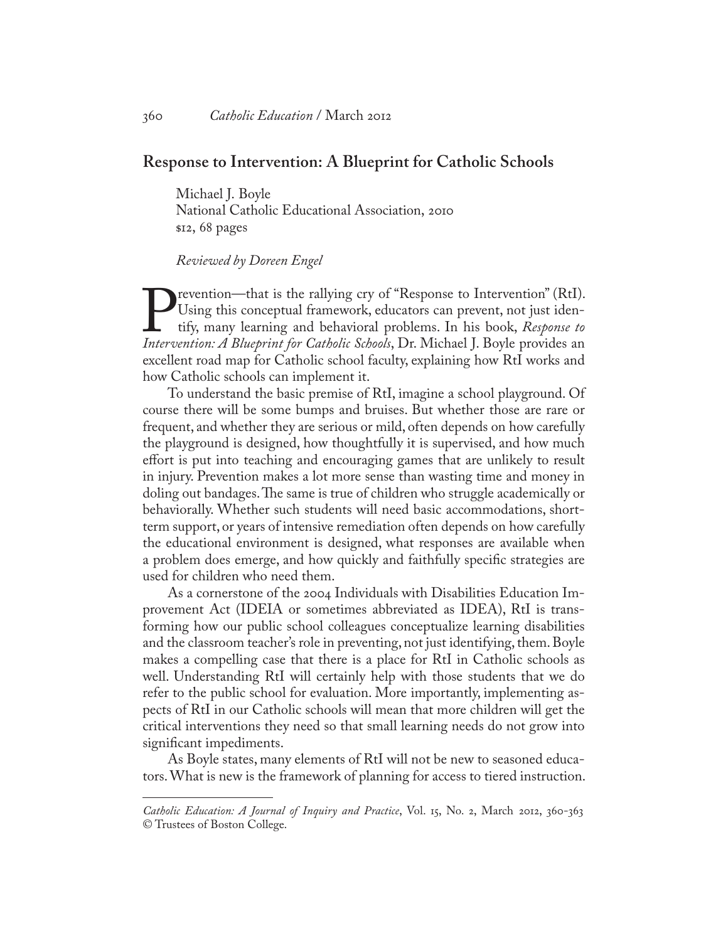## **Response to Intervention: A Blueprint for Catholic Schools**

Michael J. Boyle National Catholic Educational Association, 2010 \$12, 68 pages

*Reviewed by Doreen Engel*

**Prevention—that is the rallying cry of "Response to Intervention" (RtI).** Using this conceptual framework, educators can prevent, not just identify, many learning and behavioral problems. In his book, *Response to* Interv Using this conceptual framework, educators can prevent, not just identify, many learning and behavioral problems. In his book, *Response to*  excellent road map for Catholic school faculty, explaining how RtI works and how Catholic schools can implement it.

To understand the basic premise of RtI, imagine a school playground. Of course there will be some bumps and bruises. But whether those are rare or frequent, and whether they are serious or mild, often depends on how carefully the playground is designed, how thoughtfully it is supervised, and how much effort is put into teaching and encouraging games that are unlikely to result in injury. Prevention makes a lot more sense than wasting time and money in doling out bandages. The same is true of children who struggle academically or behaviorally. Whether such students will need basic accommodations, shortterm support, or years of intensive remediation often depends on how carefully the educational environment is designed, what responses are available when a problem does emerge, and how quickly and faithfully specific strategies are used for children who need them.

As a cornerstone of the 2004 Individuals with Disabilities Education Improvement Act (IDEIA or sometimes abbreviated as IDEA), RtI is transforming how our public school colleagues conceptualize learning disabilities and the classroom teacher's role in preventing, not just identifying, them. Boyle makes a compelling case that there is a place for RtI in Catholic schools as well. Understanding RtI will certainly help with those students that we do refer to the public school for evaluation. More importantly, implementing aspects of RtI in our Catholic schools will mean that more children will get the critical interventions they need so that small learning needs do not grow into significant impediments.

As Boyle states, many elements of RtI will not be new to seasoned educators. What is new is the framework of planning for access to tiered instruction.

*Catholic Education: A Journal of Inquiry and Practice*, Vol. 15, No. 2, March 2012, 360-363 © Trustees of Boston College.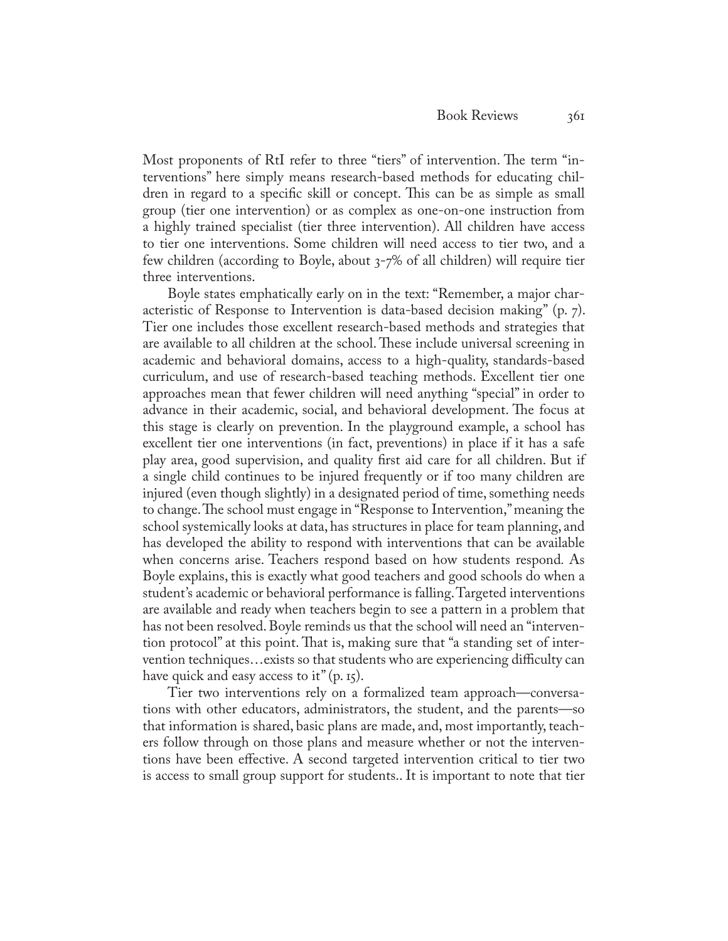Most proponents of RtI refer to three "tiers" of intervention. The term "interventions" here simply means research-based methods for educating children in regard to a specific skill or concept. This can be as simple as small group (tier one intervention) or as complex as one-on-one instruction from a highly trained specialist (tier three intervention). All children have access to tier one interventions. Some children will need access to tier two, and a few children (according to Boyle, about 3-7% of all children) will require tier three interventions.

Boyle states emphatically early on in the text: "Remember, a major characteristic of Response to Intervention is data-based decision making" (p. 7). Tier one includes those excellent research-based methods and strategies that are available to all children at the school. These include universal screening in academic and behavioral domains, access to a high-quality, standards-based curriculum, and use of research-based teaching methods. Excellent tier one approaches mean that fewer children will need anything "special" in order to advance in their academic, social, and behavioral development. The focus at this stage is clearly on prevention. In the playground example, a school has excellent tier one interventions (in fact, preventions) in place if it has a safe play area, good supervision, and quality first aid care for all children. But if a single child continues to be injured frequently or if too many children are injured (even though slightly) in a designated period of time, something needs to change. The school must engage in "Response to Intervention," meaning the school systemically looks at data, has structures in place for team planning, and has developed the ability to respond with interventions that can be available when concerns arise. Teachers respond based on how students respond*.* As Boyle explains, this is exactly what good teachers and good schools do when a student's academic or behavioral performance is falling. Targeted interventions are available and ready when teachers begin to see a pattern in a problem that has not been resolved. Boyle reminds us that the school will need an "intervention protocol" at this point. That is, making sure that "a standing set of intervention techniques…exists so that students who are experiencing difficulty can have quick and easy access to it"  $(p, 15)$ .

Tier two interventions rely on a formalized team approach—conversations with other educators, administrators, the student, and the parents—so that information is shared, basic plans are made, and, most importantly, teachers follow through on those plans and measure whether or not the interventions have been effective. A second targeted intervention critical to tier two is access to small group support for students.. It is important to note that tier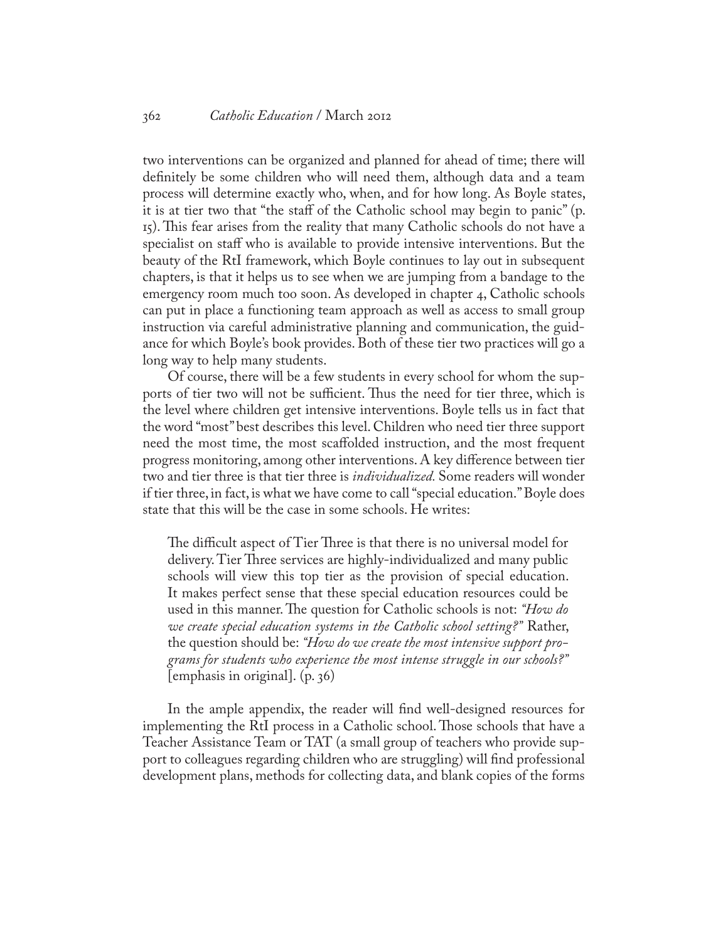two interventions can be organized and planned for ahead of time; there will definitely be some children who will need them, although data and a team process will determine exactly who, when, and for how long. As Boyle states, it is at tier two that "the staff of the Catholic school may begin to panic" (p. 15). This fear arises from the reality that many Catholic schools do not have a specialist on staff who is available to provide intensive interventions. But the beauty of the RtI framework, which Boyle continues to lay out in subsequent chapters, is that it helps us to see when we are jumping from a bandage to the emergency room much too soon. As developed in chapter 4, Catholic schools can put in place a functioning team approach as well as access to small group instruction via careful administrative planning and communication, the guidance for which Boyle's book provides. Both of these tier two practices will go a long way to help many students.

Of course, there will be a few students in every school for whom the supports of tier two will not be sufficient. Thus the need for tier three, which is the level where children get intensive interventions. Boyle tells us in fact that the word "most" best describes this level. Children who need tier three support need the most time, the most scaffolded instruction, and the most frequent progress monitoring, among other interventions. A key difference between tier two and tier three is that tier three is *individualized.* Some readers will wonder if tier three, in fact, is what we have come to call "special education." Boyle does state that this will be the case in some schools. He writes:

The difficult aspect of Tier Three is that there is no universal model for delivery. Tier Three services are highly-individualized and many public schools will view this top tier as the provision of special education. It makes perfect sense that these special education resources could be used in this manner. The question for Catholic schools is not: *"How do we create special education systems in the Catholic school setting?"* Rather, the question should be: *"How do we create the most intensive support programs for students who experience the most intense struggle in our schools?"*  $[emphasis in original], (p. 36)$ 

In the ample appendix, the reader will find well-designed resources for implementing the RtI process in a Catholic school. Those schools that have a Teacher Assistance Team or TAT (a small group of teachers who provide support to colleagues regarding children who are struggling) will find professional development plans, methods for collecting data, and blank copies of the forms